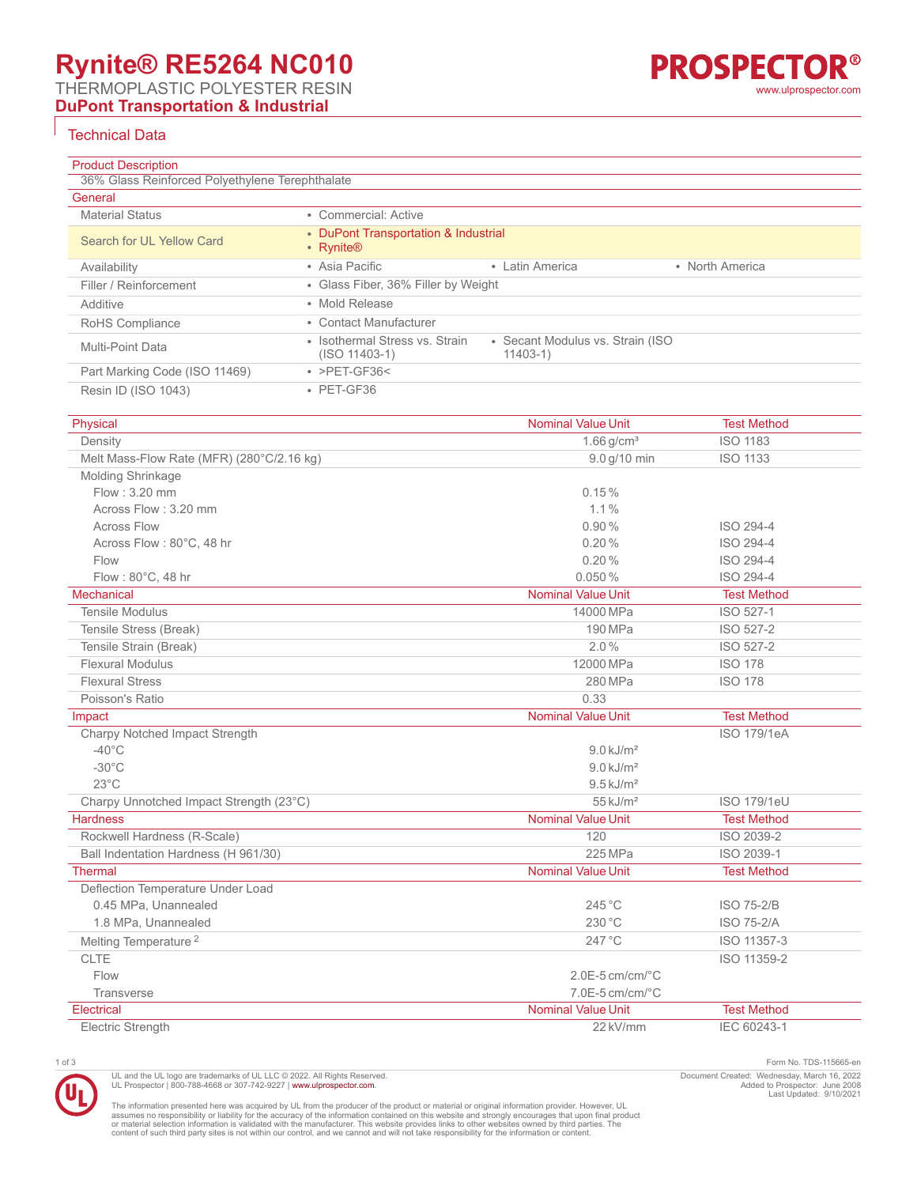THERMOPLASTIC POLYESTER RESIN

**DuPont Transportation & Industrial**

## Technical Data

| <b>Product Description</b>                      |                                                                                                      |  |  |  |
|-------------------------------------------------|------------------------------------------------------------------------------------------------------|--|--|--|
| 36% Glass Reinforced Polyethylene Terephthalate |                                                                                                      |  |  |  |
| General                                         |                                                                                                      |  |  |  |
| <b>Material Status</b>                          | • Commercial: Active                                                                                 |  |  |  |
| Search for UL Yellow Card                       | • DuPont Transportation & Industrial<br>• Rynite®                                                    |  |  |  |
| Availability                                    | • Asia Pacific<br>• Latin America<br>• North America                                                 |  |  |  |
| Filler / Reinforcement                          | • Glass Fiber, 36% Filler by Weight                                                                  |  |  |  |
| Additive                                        | • Mold Release                                                                                       |  |  |  |
| RoHS Compliance                                 | • Contact Manufacturer                                                                               |  |  |  |
| Multi-Point Data                                | • Isothermal Stress vs. Strain<br>• Secant Modulus vs. Strain (ISO)<br>$11403-1)$<br>$(ISO 11403-1)$ |  |  |  |
| Part Marking Code (ISO 11469)                   | $\cdot$ >PET-GF36<                                                                                   |  |  |  |
| Resin ID (ISO 1043)                             | $\cdot$ PET-GF36                                                                                     |  |  |  |

| Physical                                  | <b>Nominal Value Unit</b> | <b>Test Method</b> |
|-------------------------------------------|---------------------------|--------------------|
| Density                                   | $1.66$ g/cm <sup>3</sup>  | <b>ISO 1183</b>    |
| Melt Mass-Flow Rate (MFR) (280°C/2.16 kg) | 9.0 g/10 min              | <b>ISO 1133</b>    |
| <b>Molding Shrinkage</b>                  |                           |                    |
| Flow: 3.20 mm                             | 0.15%                     |                    |
| Across Flow: 3.20 mm                      | 1.1%                      |                    |
| <b>Across Flow</b>                        | 0.90%                     | ISO 294-4          |
| Across Flow: 80°C, 48 hr                  | 0.20%                     | ISO 294-4          |
| Flow                                      | 0.20%                     | ISO 294-4          |
| Flow: 80°C, 48 hr                         | 0.050%                    | ISO 294-4          |
| Mechanical                                | <b>Nominal Value Unit</b> | <b>Test Method</b> |
| <b>Tensile Modulus</b>                    | 14000 MPa                 | ISO 527-1          |
| Tensile Stress (Break)                    | 190 MPa                   | ISO 527-2          |
| Tensile Strain (Break)                    | 2.0%                      | ISO 527-2          |
| <b>Flexural Modulus</b>                   | 12000 MPa                 | <b>ISO 178</b>     |
| <b>Flexural Stress</b>                    | 280 MPa                   | <b>ISO 178</b>     |
| Poisson's Ratio                           | 0.33                      |                    |
| Impact                                    | <b>Nominal Value Unit</b> | <b>Test Method</b> |
| Charpy Notched Impact Strength            |                           | <b>ISO 179/1eA</b> |
| $-40^{\circ}$ C                           | $9.0$ kJ/m <sup>2</sup>   |                    |
| $-30^{\circ}$ C                           | $9.0$ kJ/m <sup>2</sup>   |                    |
| $23^{\circ}$ C                            | $9.5 \text{ kJ/m}^2$      |                    |
| Charpy Unnotched Impact Strength (23°C)   | $55$ kJ/m <sup>2</sup>    | <b>ISO 179/1eU</b> |
| <b>Hardness</b>                           | <b>Nominal Value Unit</b> | <b>Test Method</b> |
| Rockwell Hardness (R-Scale)               | 120                       | ISO 2039-2         |
| Ball Indentation Hardness (H 961/30)      | 225 MPa                   | ISO 2039-1         |
| <b>Thermal</b>                            | <b>Nominal Value Unit</b> | <b>Test Method</b> |
| Deflection Temperature Under Load         |                           |                    |
| 0.45 MPa, Unannealed                      | 245 °C                    | <b>ISO 75-2/B</b>  |
| 1.8 MPa, Unannealed                       | 230 °C                    | <b>ISO 75-2/A</b>  |
| Melting Temperature <sup>2</sup>          | 247 °C                    | ISO 11357-3        |
| <b>CLTE</b>                               |                           | ISO 11359-2        |
| Flow                                      | $2.0E-5$ cm/cm/ $°C$      |                    |
| <b>Transverse</b>                         | $7.0E-5$ cm/cm/ $°C$      |                    |
| Electrical                                | <b>Nominal Value Unit</b> | <b>Test Method</b> |
| <b>Electric Strenath</b>                  | 22 kV/mm                  | IEC 60243-1        |

UL and the UL logo are trademarks of UL LLC © 2022. All Rights Reserved.<br>UL Prospector | 800-788-4668 or 307-742-9227 | [www.ulprospector.com](http://www.ulprospector.com).

1 of 3 Form No. TDS-115665-en Document Created: Wednesday, March 16, 2022 Added to Prospector: June 2008 Last Updated: 9/10/2021

The information presented here was acquired by UL from the producer of the product or material or original information provider. However, UL<br>assumes no responsibility or liability for the accuracy of the information contai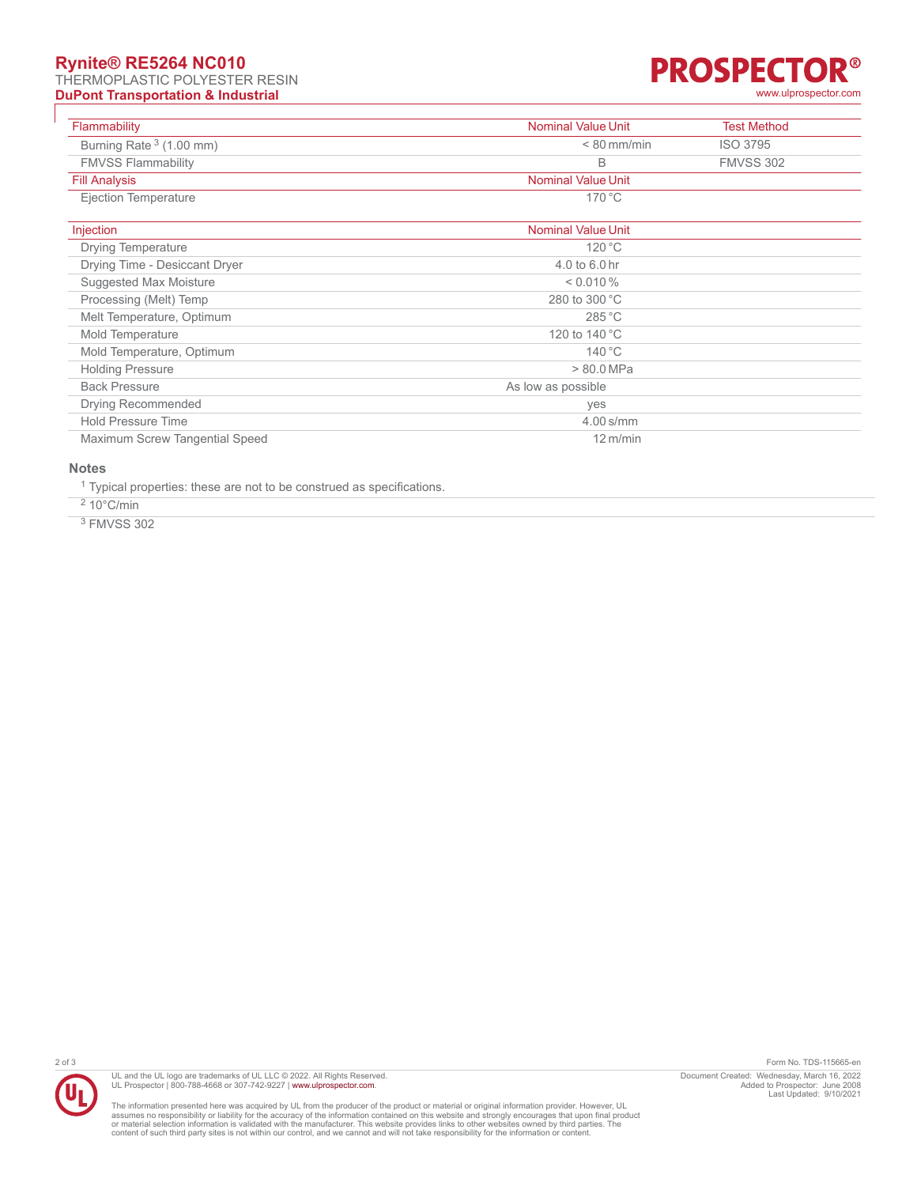## **Rynite® RE5264 NC010**

THERMOPLASTIC POLYESTER RESIN **DuPont Transportation & Industrial DuPont Transportation & Industrial [www.ulprospector.com](http://www.ulprospector.com)** 



| Flammability                   | <b>Nominal Value Unit</b> | <b>Test Method</b> |
|--------------------------------|---------------------------|--------------------|
| Burning Rate $3(1.00$ mm)      | $< 80$ mm/min             | <b>ISO 3795</b>    |
| <b>FMVSS Flammability</b>      | В                         | <b>FMVSS 302</b>   |
| <b>Fill Analysis</b>           | <b>Nominal Value Unit</b> |                    |
| Ejection Temperature           | $170^{\circ}$ C           |                    |
| Injection                      | <b>Nominal Value Unit</b> |                    |
| Drying Temperature             | 120 °C                    |                    |
| Drying Time - Desiccant Dryer  | 4.0 to 6.0 hr             |                    |
| Suggested Max Moisture         | $< 0.010 \%$              |                    |
| Processing (Melt) Temp         | 280 to 300 °C             |                    |
| Melt Temperature, Optimum      | 285 °C                    |                    |
| Mold Temperature               | 120 to 140 °C             |                    |
| Mold Temperature, Optimum      | $140^{\circ}$ C           |                    |
| <b>Holding Pressure</b>        | $> 80.0$ MPa              |                    |
| <b>Back Pressure</b>           | As low as possible        |                    |
| <b>Drying Recommended</b>      | yes                       |                    |
| <b>Hold Pressure Time</b>      | $4.00$ s/mm               |                    |
| Maximum Screw Tangential Speed | $12 \text{ m/min}$        |                    |

### **Notes**

<sup>1</sup> Typical properties: these are not to be construed as specifications.

 $210^{\circ}$ C/min

3 FMVSS 302



UL and the UL logo are trademarks of UL LLC © 2022. All Rights Reserved.<br>UL Prospector | 800-788-4668 or 307-742-9227 | [www.ulprospector.com](http://www.ulprospector.com).

The information presented here was acquired by UL from the producer of the product or material or original information provider. However, UL<br>assumes no responsibility or liability for the accuracy of the information contai

2 of 3 Form No. TDS-115665-en Document Created: Wednesday, March 16, 2022 Added to Prospector: June 2008 Last Updated: 9/10/2021